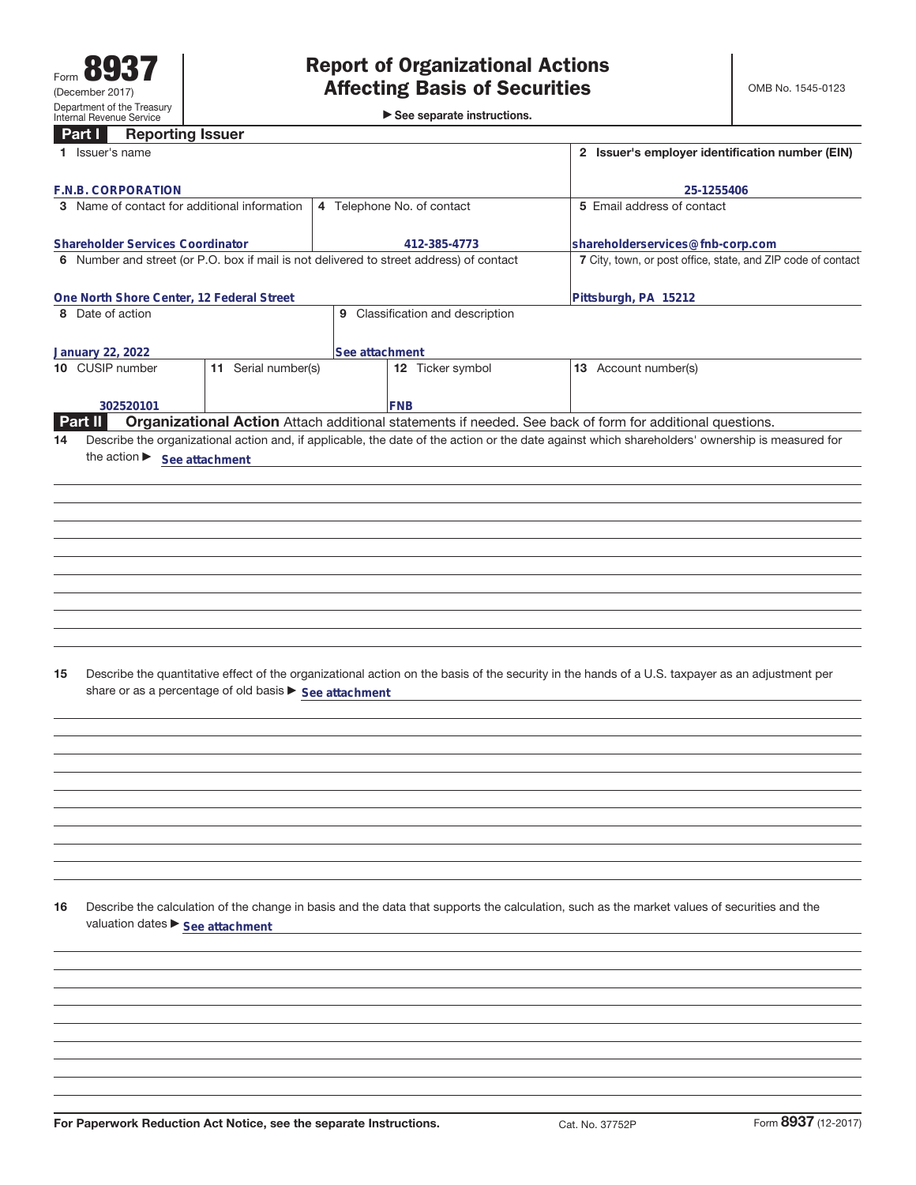►<br>► See separate instructions.

# **Part I Reporting Issuer**

| <u>Farl I</u><br>neporting issuer<br>1 Issuer's name                                    |                                                        |                            | 2 Issuer's employer identification number (EIN)              |                                                                                                                                                 |                                  |  |
|-----------------------------------------------------------------------------------------|--------------------------------------------------------|----------------------------|--------------------------------------------------------------|-------------------------------------------------------------------------------------------------------------------------------------------------|----------------------------------|--|
|                                                                                         |                                                        |                            |                                                              |                                                                                                                                                 |                                  |  |
| F.N.B. CORPORATION<br>3 Name of contact for additional information                      |                                                        | 5 Email address of contact | 25-1255406                                                   |                                                                                                                                                 |                                  |  |
|                                                                                         |                                                        | 4 Telephone No. of contact |                                                              |                                                                                                                                                 |                                  |  |
| <b>Shareholder Services Coordinator</b>                                                 |                                                        |                            | 412-385-4773                                                 |                                                                                                                                                 | shareholderservices@fnb-corp.com |  |
| 6 Number and street (or P.O. box if mail is not delivered to street address) of contact |                                                        |                            | 7 City, town, or post office, state, and ZIP code of contact |                                                                                                                                                 |                                  |  |
|                                                                                         |                                                        |                            |                                                              |                                                                                                                                                 |                                  |  |
| One North Shore Center, 12 Federal Street<br>8 Date of action                           |                                                        | Pittsburgh, PA 15212       |                                                              |                                                                                                                                                 |                                  |  |
|                                                                                         |                                                        |                            | 9 Classification and description                             |                                                                                                                                                 |                                  |  |
| <b>January 22, 2022</b>                                                                 |                                                        | See attachment             |                                                              |                                                                                                                                                 |                                  |  |
| 10 CUSIP number                                                                         | 11 Serial number(s)                                    |                            | 12 Ticker symbol                                             | 13 Account number(s)                                                                                                                            |                                  |  |
|                                                                                         |                                                        |                            |                                                              |                                                                                                                                                 |                                  |  |
| 302520101<br>Part II                                                                    |                                                        | FNB                        |                                                              | Organizational Action Attach additional statements if needed. See back of form for additional questions.                                        |                                  |  |
| 14                                                                                      |                                                        |                            |                                                              | Describe the organizational action and, if applicable, the date of the action or the date against which shareholders' ownership is measured for |                                  |  |
| the action $\blacktriangleright$ See attachment                                         |                                                        |                            |                                                              |                                                                                                                                                 |                                  |  |
|                                                                                         |                                                        |                            |                                                              |                                                                                                                                                 |                                  |  |
|                                                                                         |                                                        |                            |                                                              |                                                                                                                                                 |                                  |  |
|                                                                                         |                                                        |                            |                                                              |                                                                                                                                                 |                                  |  |
|                                                                                         |                                                        |                            |                                                              |                                                                                                                                                 |                                  |  |
|                                                                                         |                                                        |                            |                                                              |                                                                                                                                                 |                                  |  |
|                                                                                         |                                                        |                            |                                                              |                                                                                                                                                 |                                  |  |
|                                                                                         |                                                        |                            |                                                              |                                                                                                                                                 |                                  |  |
|                                                                                         |                                                        |                            |                                                              |                                                                                                                                                 |                                  |  |
|                                                                                         |                                                        |                            |                                                              |                                                                                                                                                 |                                  |  |
|                                                                                         |                                                        |                            |                                                              |                                                                                                                                                 |                                  |  |
| 15                                                                                      | share or as a percentage of old basis ▶ See attachment |                            |                                                              | Describe the quantitative effect of the organizational action on the basis of the security in the hands of a U.S. taxpayer as an adjustment per |                                  |  |
|                                                                                         |                                                        |                            |                                                              |                                                                                                                                                 |                                  |  |
|                                                                                         |                                                        |                            |                                                              |                                                                                                                                                 |                                  |  |
|                                                                                         |                                                        |                            |                                                              |                                                                                                                                                 |                                  |  |
|                                                                                         |                                                        |                            |                                                              |                                                                                                                                                 |                                  |  |
|                                                                                         |                                                        |                            |                                                              |                                                                                                                                                 |                                  |  |
|                                                                                         |                                                        |                            |                                                              |                                                                                                                                                 |                                  |  |
|                                                                                         |                                                        |                            |                                                              |                                                                                                                                                 |                                  |  |
|                                                                                         |                                                        |                            |                                                              |                                                                                                                                                 |                                  |  |
| 16<br>valuation dates ▶ See attachment                                                  |                                                        |                            |                                                              | Describe the calculation of the change in basis and the data that supports the calculation, such as the market values of securities and the     |                                  |  |
|                                                                                         |                                                        |                            |                                                              |                                                                                                                                                 |                                  |  |
|                                                                                         |                                                        |                            |                                                              |                                                                                                                                                 |                                  |  |
|                                                                                         |                                                        |                            |                                                              |                                                                                                                                                 |                                  |  |
|                                                                                         |                                                        |                            |                                                              |                                                                                                                                                 |                                  |  |
|                                                                                         |                                                        |                            |                                                              |                                                                                                                                                 |                                  |  |
|                                                                                         |                                                        |                            |                                                              |                                                                                                                                                 |                                  |  |
|                                                                                         |                                                        |                            |                                                              |                                                                                                                                                 |                                  |  |
|                                                                                         |                                                        |                            |                                                              |                                                                                                                                                 |                                  |  |
|                                                                                         |                                                        |                            |                                                              |                                                                                                                                                 |                                  |  |
| For Paperwork Reduction Act Notice, see the separate Instructions.                      |                                                        |                            |                                                              | Cat. No. 37752P                                                                                                                                 | Form 8937 (12-2017)              |  |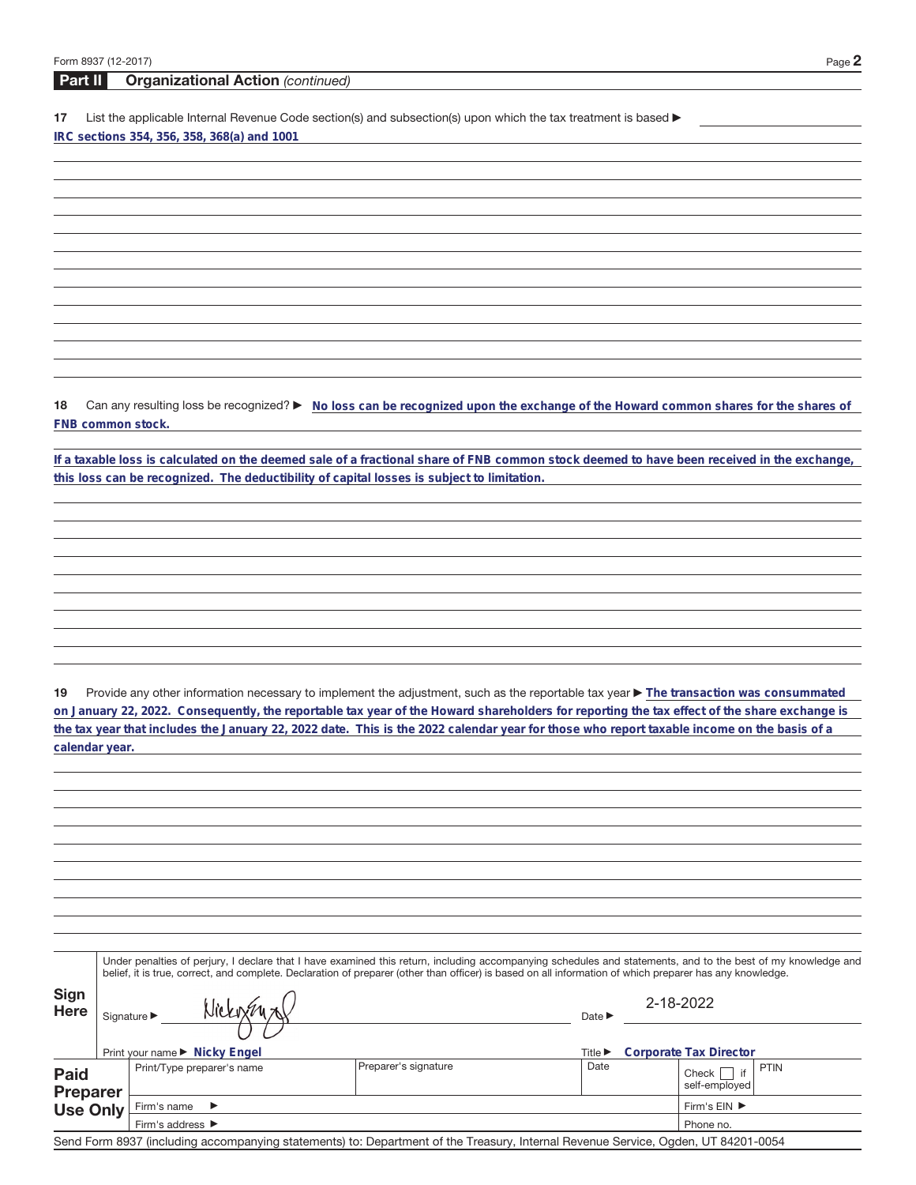**Part II Organizational Action** (continued)

17 List the applicable Internal Revenue Code section(s) and subsection(s) upon which the tax treatment is based  $\blacktriangleright$ **IRC sections 354, 356, 358, 368(a) and 1001**

18 Can any resulting loss be recognized?  $\triangleright$  No loss can be recognized upon the exchange of the Howard common shares for the shares of **FNB common stock.**

**If a taxable loss is calculated on the deemed sale of a fractional share of FNB common stock deemed to have been received in the exchange, this loss can be recognized. The deductibility of capital losses is subject to limitation.**

19 Provide any other information necessary to implement the adjustment, such as the reportable tax year **F** The transaction was consummated **on January 22, 2022. Consequently, the reportable tax year of the Howard shareholders for reporting the tax effect of the share exchange is the tax year that includes the January 22, 2022 date. This is the 2022 calendar year for those who report taxable income on the basis of a calendar year.**

|                                | Under penalties of perjury, I declare that I have examined this return, including accompanying schedules and statements, and to the best of my knowledge and<br>belief, it is true, correct, and complete. Declaration of preparer (other than officer) is based on all information of which preparer has any knowledge. |                                      |                                                                                                                                   |                                                       |                                             |  |  |  |
|--------------------------------|--------------------------------------------------------------------------------------------------------------------------------------------------------------------------------------------------------------------------------------------------------------------------------------------------------------------------|--------------------------------------|-----------------------------------------------------------------------------------------------------------------------------------|-------------------------------------------------------|---------------------------------------------|--|--|--|
| <b>Sign</b><br><b>Here</b>     |                                                                                                                                                                                                                                                                                                                          | Signature $\blacktriangleright$      |                                                                                                                                   | Date $\blacktriangleright$                            | 2-18-2022                                   |  |  |  |
|                                |                                                                                                                                                                                                                                                                                                                          | Print your name ► Nicky Engel        |                                                                                                                                   | Corporate Tax Director<br>Title $\blacktriangleright$ |                                             |  |  |  |
| <b>Paid</b><br><b>Preparer</b> |                                                                                                                                                                                                                                                                                                                          | Print/Type preparer's name           | Preparer's signature                                                                                                              | Date                                                  | <b>PTIN</b><br>if<br>Check<br>self-employed |  |  |  |
| <b>Use Only</b>                |                                                                                                                                                                                                                                                                                                                          | Firm's name<br>$\rightarrow$         | Firm's $EIN$ $\blacktriangleright$                                                                                                |                                                       |                                             |  |  |  |
|                                |                                                                                                                                                                                                                                                                                                                          | Firm's address $\blacktriangleright$ | Phone no.                                                                                                                         |                                                       |                                             |  |  |  |
|                                |                                                                                                                                                                                                                                                                                                                          |                                      | Send Form 8937 (including accompanying statements) to: Department of the Treasury, Internal Revenue Service, Ogden, UT 84201-0054 |                                                       |                                             |  |  |  |